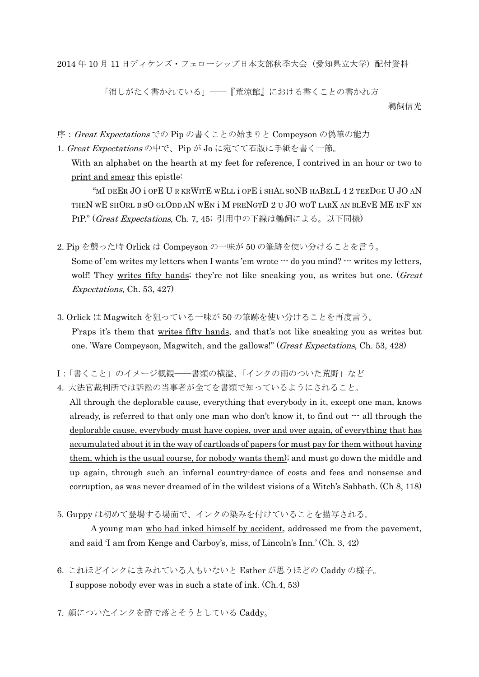2014年10月11日ディケンズ・フェローシップ日本支部秋季大会(愛知県立大学)配付資料

「消しがたく書かれている」––『荒涼館』における書くことの書かれ方 鵜飼信光

序: Great Expectations での Pip の書くことの始まりと Compeyson の偽筆の能力

1. Great Expectations の中で、Pip が Jo に宛てて石版に手紙を書く一節。

With an alphabet on the hearth at my feet for reference, I contrived in an hour or two to print and smear this epistle:

"MI DEER JO i OPE U R KRWITE WELL i OPE i SHAL SONB HABELL 4 2 TEEDGE U JO AN THEN WE SHORL B SO GLODD AN WEN i M PRENGTD 2 U JO WOT LARX AN BLEVE ME INF XN PIP." (Great Expectations, Ch. 7, 45; 引用中の下線は鵜飼による。以下同様)

- 2. Pip を襲った時 Orlick は Compeyson の一味が 50 の筆跡を使い分けることを言う。 Some of 'em writes my letters when I wants 'em wrote  $\cdots$  do you mind?  $\cdots$  writes my letters, wolf! They writes fifty hands; they're not like sneaking you, as writes but one. (Great Expectations, Ch. 53, 427)
- 3. Orlick は Magwitch を狙っている一味が 50 の筆跡を使い分けることを再度言う。 P'raps it's them that writes fifty hands, and that's not like sneaking you as writes but one. 'Ware Compeyson, Magwitch, and the gallows!" (Great Expectations, Ch. 53, 428)
- I:「書くこと」のイメージ概観――書類の横溢、「インクの雨のついた荒野」など
- 4. 大法官裁判所では訴訟の当事者が全てを書類で知っているようにされること。

All through the deplorable cause, everything that everybody in it, except one man, knows already, is referred to that only one man who don't know it, to find out  $\cdots$  all through the deplorable cause, everybody must have copies, over and over again, of everything that has accumulated about it in the way of cartloads of papers (or must pay for them without having them, which is the usual course, for nobody wants them); and must go down the middle and up again, through such an infernal country-dance of costs and fees and nonsense and corruption, as was never dreamed of in the wildest visions of a Witch's Sabbath. (Ch 8, 118)

5. Guppy は初めて登場する場面で、インクの染みを付けていることを描写される。

A young man who had inked himself by accident, addressed me from the pavement, and said 'I am from Kenge and Carboy's, miss, of Lincoln's Inn.' (Ch. 3, 42)

- 6. これほどインクにまみれている人もいないと Esther が思うほどの Caddy の様子。 I suppose nobody ever was in such a state of ink. (Ch.4, 53)
- 7. 顔についたインクを酢で落とそうとしている Caddy。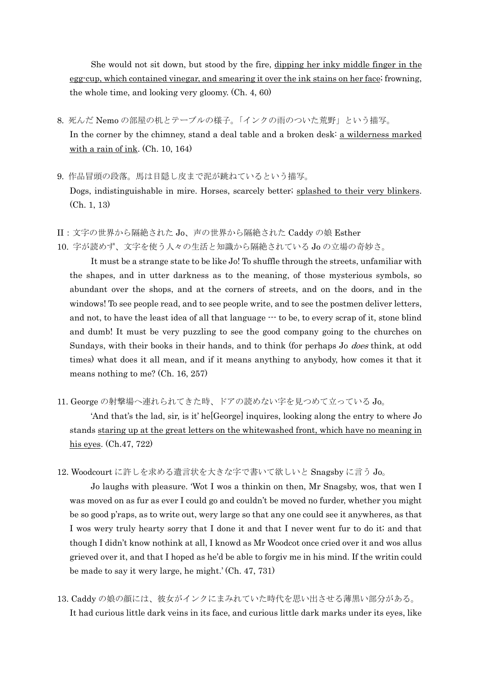She would not sit down, but stood by the fire, dipping her inky middle finger in the egg-cup, which contained vinegar, and smearing it over the ink stains on her face; frowning, the whole time, and looking very gloomy. (Ch. 4, 60)

- 8. 死んだ Nemo の部屋の机とテーブルの様子。「インクの雨のついた荒野」という描写。 In the corner by the chimney, stand a deal table and a broken desk: a wilderness marked with a rain of ink. (Ch. 10, 164)
- 9. 作品冒頭の段落。馬は目隠し皮まで泥が跳ねているという描写。 Dogs, indistinguishable in mire. Horses, scarcely better; splashed to their very blinkers. (Ch. 1, 13)
- II:文字の世界から隔絶された Jo、声の世界から隔絶された Caddy の娘 Esther

10. 字が読めず、文字を使う人々の生活と知識から隔絶されている Jo の立場の奇妙さ。

It must be a strange state to be like Jo! To shuffle through the streets, unfamiliar with the shapes, and in utter darkness as to the meaning, of those mysterious symbols, so abundant over the shops, and at the corners of streets, and on the doors, and in the windows! To see people read, and to see people write, and to see the postmen deliver letters, and not, to have the least idea of all that language  $\cdots$  to be, to every scrap of it, stone blind and dumb! It must be very puzzling to see the good company going to the churches on Sundays, with their books in their hands, and to think (for perhaps Jo *does* think, at odd times) what does it all mean, and if it means anything to anybody, how comes it that it means nothing to me? (Ch. 16, 257)

11. George の射撃場へ連れられてきた時、ドアの読めない字を見つめて立っている Jo。

'And that's the lad, sir, is it' he[George] inquires, looking along the entry to where Jo stands staring up at the great letters on the whitewashed front, which have no meaning in his eyes. (Ch.47, 722)

12. Woodcourt に許しを求める遺言状を大きな字で書いて欲しいと Snagsby に言う Jo。

Jo laughs with pleasure. 'Wot I wos a thinkin on then, Mr Snagsby, wos, that wen I was moved on as fur as ever I could go and couldn't be moved no furder, whether you might be so good p'raps, as to write out, wery large so that any one could see it anywheres, as that I wos wery truly hearty sorry that I done it and that I never went fur to do it; and that though I didn't know nothink at all, I knowd as Mr Woodcot once cried over it and wos allus grieved over it, and that I hoped as he'd be able to forgiv me in his mind. If the writin could be made to say it wery large, he might.' (Ch. 47, 731)

13. Caddy の娘の顔には、彼女がインクにまみれていた時代を思い出させる薄黒い部分がある。 It had curious little dark veins in its face, and curious little dark marks under its eyes, like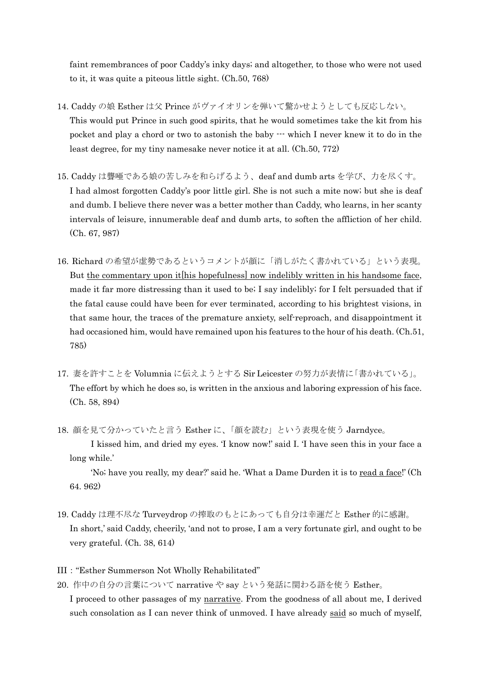faint remembrances of poor Caddy's inky days; and altogether, to those who were not used to it, it was quite a piteous little sight. (Ch.50, 768)

- 14. Caddy の娘 Esther は父 Prince がヴァイオリンを弾いて驚かせようとしても反応しない。 This would put Prince in such good spirits, that he would sometimes take the kit from his pocket and play a chord or two to astonish the baby --- which I never knew it to do in the least degree, for my tiny namesake never notice it at all. (Ch.50, 772)
- 15. Caddy は聾唖である娘の苦しみを和らげるよう、deaf and dumb arts を学び、力を尽くす。 I had almost forgotten Caddy's poor little girl. She is not such a mite now; but she is deaf and dumb. I believe there never was a better mother than Caddy, who learns, in her scanty intervals of leisure, innumerable deaf and dumb arts, to soften the affliction of her child. (Ch. 67, 987)
- 16. Richard の希望が虚勢であるというコメントが顔に「消しがたく書かれている」という表現。 But the commentary upon it his hopefulness now indelibly written in his handsome face, made it far more distressing than it used to be; I say indelibly; for I felt persuaded that if the fatal cause could have been for ever terminated, according to his brightest visions, in that same hour, the traces of the premature anxiety, self-reproach, and disappointment it had occasioned him, would have remained upon his features to the hour of his death. (Ch.51, 785)
- 17. 妻を許すことを Volumnia に伝えようとする Sir Leicester の努力が表情に「書かれている」。 The effort by which he does so, is written in the anxious and laboring expression of his face. (Ch. 58, 894)
- 18. 顔を見て分かっていたと言う Esther に、「顔を読む」という表現を使う Jarndyce。
	- I kissed him, and dried my eyes. 'I know now!' said I. 'I have seen this in your face a long while.'

 'No; have you really, my dear?' said he. 'What a Dame Durden it is to read a face!' (Ch 64. 962)

- 19. Caddy は理不尽な Turveydrop の搾取のもとにあっても自分は幸運だと Esther 的に感謝。 In short,' said Caddy, cheerily, 'and not to prose, I am a very fortunate girl, and ought to be very grateful. (Ch. 38, 614)
- III:"Esther Summerson Not Wholly Rehabilitated"
- 20. 作中の自分の言葉について narrative や say という発話に関わる語を使う Esther。

I proceed to other passages of my narrative. From the goodness of all about me, I derived such consolation as I can never think of unmoved. I have already said so much of myself,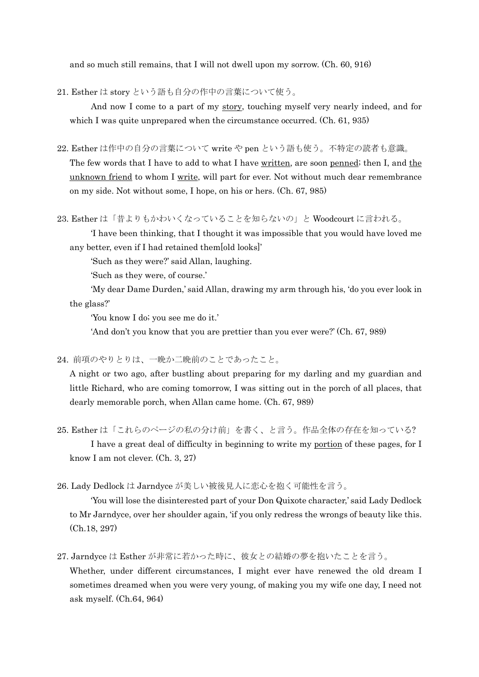and so much still remains, that I will not dwell upon my sorrow. (Ch. 60, 916)

21. Esther は story という語も自分の作中の言葉について使う。

And now I come to a part of my story, touching myself very nearly indeed, and for which I was quite unprepared when the circumstance occurred. (Ch. 61, 935)

22. Esther は作中の自分の言葉について write や pen という語も使う。不特定の読者も意識。

 The few words that I have to add to what I have written, are soon penned; then I, and the unknown friend to whom I write, will part for ever. Not without much dear remembrance on my side. Not without some, I hope, on his or hers. (Ch. 67, 985)

23. Esther は「昔よりもかわいくなっていることを知らないの」と Woodcourt に言われる。

 'I have been thinking, that I thought it was impossible that you would have loved me any better, even if I had retained them[old looks]'

'Such as they were?' said Allan, laughing.

'Such as they were, of course.'

 'My dear Dame Durden,' said Allan, drawing my arm through his, 'do you ever look in the glass?'

'You know I do; you see me do it.'

'And don't you know that you are prettier than you ever were?' (Ch. 67, 989)

24. 前項のやりとりは、一晩か二晩前のことであったこと。

A night or two ago, after bustling about preparing for my darling and my guardian and little Richard, who are coming tomorrow, I was sitting out in the porch of all places, that dearly memorable porch, when Allan came home. (Ch. 67, 989)

25. Esther は「これらのページの私の分け前」を書く、と言う。作品全体の存在を知っている? I have a great deal of difficulty in beginning to write my portion of these pages, for I know I am not clever. (Ch. 3, 27)

26. Lady Dedlock は Jarndyce が美しい被後見人に恋心を抱く可能性を言う。

'You will lose the disinterested part of your Don Quixote character,' said Lady Dedlock to Mr Jarndyce, over her shoulder again, 'if you only redress the wrongs of beauty like this. (Ch.18, 297)

27. Jarndyce は Esther が非常に若かった時に、彼女との結婚の夢を抱いたことを言う。

Whether, under different circumstances, I might ever have renewed the old dream I sometimes dreamed when you were very young, of making you my wife one day, I need not ask myself. (Ch.64, 964)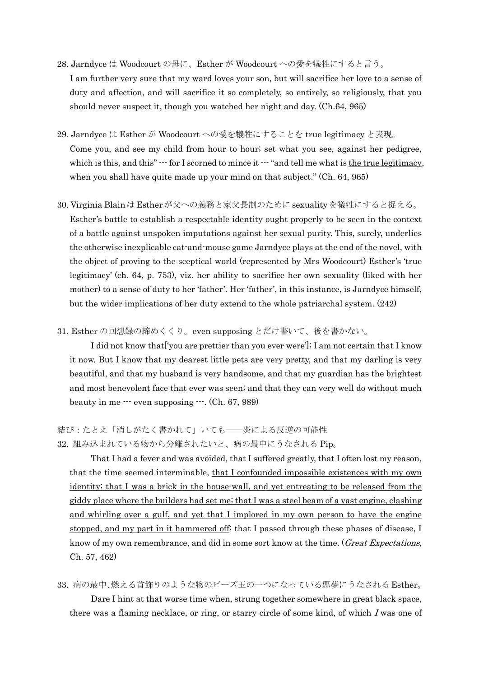- 28. Jarndyce は Woodcourt の母に、Esther が Woodcourt への愛を犠牲にすると言う。 I am further very sure that my ward loves your son, but will sacrifice her love to a sense of duty and affection, and will sacrifice it so completely, so entirely, so religiously, that you should never suspect it, though you watched her night and day. (Ch.64, 965)
- 29. Jarndyce は Esther が Woodcourt への愛を犠牲にすることを true legitimacy と表現。 Come you, and see my child from hour to hour; set what you see, against her pedigree, which is this, and this"  $\cdots$  for I scorned to mince it  $\cdots$  "and tell me what is the true legitimacy, when you shall have quite made up your mind on that subject." (Ch. 64, 965)
- 30. Virginia BlainはEstherが父への義務と家父長制のためにsexualityを犠牲にすると捉える。 Esther's battle to establish a respectable identity ought properly to be seen in the context of a battle against unspoken imputations against her sexual purity. This, surely, underlies the otherwise inexplicable cat-and-mouse game Jarndyce plays at the end of the novel, with the object of proving to the sceptical world (represented by Mrs Woodcourt) Esther's 'true legitimacy' (ch. 64, p. 753), viz. her ability to sacrifice her own sexuality (liked with her mother) to a sense of duty to her 'father'. Her 'father', in this instance, is Jarndyce himself, but the wider implications of her duty extend to the whole patriarchal system. (242)
- 31. Esther の回想録の締めくくり。even supposing とだけ書いて、後を書かない。

 I did not know that['you are prettier than you ever were']; I am not certain that I know it now. But I know that my dearest little pets are very pretty, and that my darling is very beautiful, and that my husband is very handsome, and that my guardian has the brightest and most benevolent face that ever was seen; and that they can very well do without much beauty in me  $\cdots$  even supposing  $\cdots$ . (Ch. 67, 989)

結び:たとえ「消しがたく書かれて」いても――炎による反逆の可能性 32. 組み込まれている物から分離されたいと、病の最中にうなされる Pip。

 That I had a fever and was avoided, that I suffered greatly, that I often lost my reason, that the time seemed interminable, that I confounded impossible existences with my own identity; that I was a brick in the house-wall, and yet entreating to be released from the giddy place where the builders had set me; that I was a steel beam of a vast engine, clashing and whirling over a gulf, and yet that I implored in my own person to have the engine stopped, and my part in it hammered off; that I passed through these phases of disease, I know of my own remembrance, and did in some sort know at the time. (*Great Expectations*, Ch. 57, 462)

33. 病の最中、燃える首飾りのような物のビーズ玉の一つになっている悪夢にうなされる Esther。

 Dare I hint at that worse time when, strung together somewhere in great black space, there was a flaming necklace, or ring, or starry circle of some kind, of which I was one of